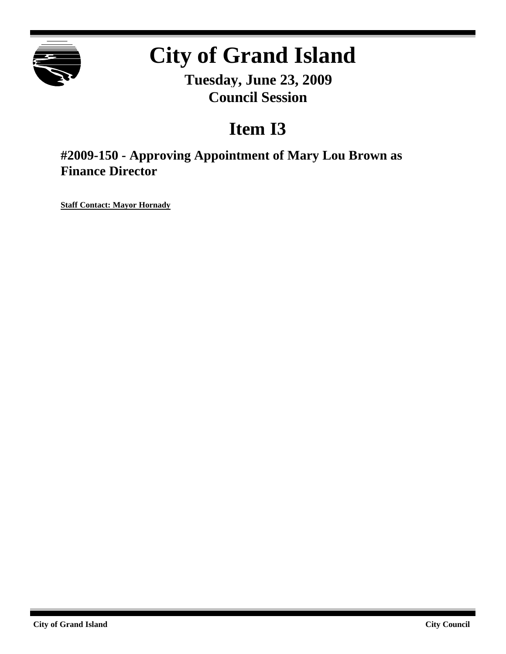

# **City of Grand Island**

**Tuesday, June 23, 2009 Council Session**

## **Item I3**

**#2009-150 - Approving Appointment of Mary Lou Brown as Finance Director**

**Staff Contact: Mayor Hornady**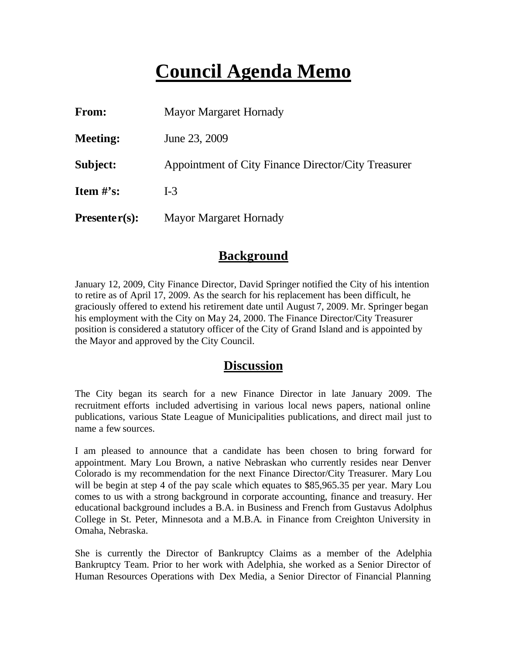## **Council Agenda Memo**

| From:           | <b>Mayor Margaret Hornady</b>                       |
|-----------------|-----------------------------------------------------|
| <b>Meeting:</b> | June 23, 2009                                       |
| Subject:        | Appointment of City Finance Director/City Treasurer |
| Item $#$ 's:    | $I-3$                                               |
| $Presenter(s):$ | <b>Mayor Margaret Hornady</b>                       |

#### **Background**

January 12, 2009, City Finance Director, David Springer notified the City of his intention to retire as of April 17, 2009. As the search for his replacement has been difficult, he graciously offered to extend his retirement date until August 7, 2009. Mr. Springer began his employment with the City on May 24, 2000. The Finance Director/City Treasurer position is considered a statutory officer of the City of Grand Island and is appointed by the Mayor and approved by the City Council.

#### **Discussion**

The City began its search for a new Finance Director in late January 2009. The recruitment efforts included advertising in various local news papers, national online publications, various State League of Municipalities publications, and direct mail just to name a few sources.

I am pleased to announce that a candidate has been chosen to bring forward for appointment. Mary Lou Brown, a native Nebraskan who currently resides near Denver Colorado is my recommendation for the next Finance Director/City Treasurer. Mary Lou will be begin at step 4 of the pay scale which equates to \$85,965.35 per year. Mary Lou comes to us with a strong background in corporate accounting, finance and treasury. Her educational background includes a B.A. in Business and French from Gustavus Adolphus College in St. Peter, Minnesota and a M.B.A. in Finance from Creighton University in Omaha, Nebraska.

She is currently the Director of Bankruptcy Claims as a member of the Adelphia Bankruptcy Team. Prior to her work with Adelphia, she worked as a Senior Director of Human Resources Operations with Dex Media, a Senior Director of Financial Planning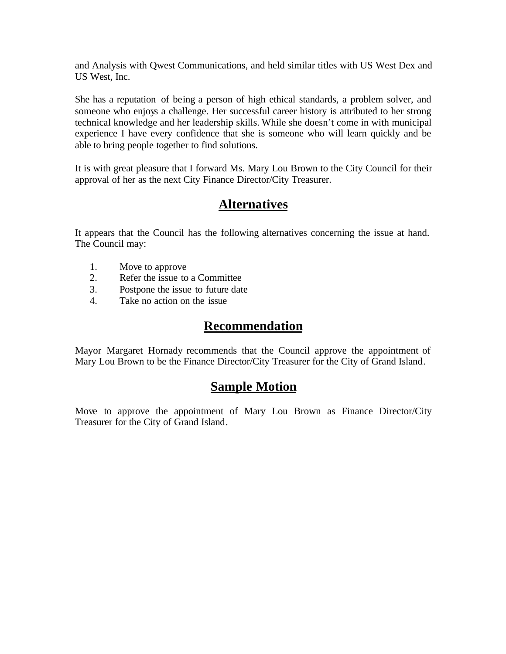and Analysis with Qwest Communications, and held similar titles with US West Dex and US West, Inc.

She has a reputation of being a person of high ethical standards, a problem solver, and someone who enjoys a challenge. Her successful career history is attributed to her strong technical knowledge and her leadership skills. While she doesn't come in with municipal experience I have every confidence that she is someone who will learn quickly and be able to bring people together to find solutions.

It is with great pleasure that I forward Ms. Mary Lou Brown to the City Council for their approval of her as the next City Finance Director/City Treasurer.

### **Alternatives**

It appears that the Council has the following alternatives concerning the issue at hand. The Council may:

- 1. Move to approve
- 2. Refer the issue to a Committee
- 3. Postpone the issue to future date
- 4. Take no action on the issue

#### **Recommendation**

Mayor Margaret Hornady recommends that the Council approve the appointment of Mary Lou Brown to be the Finance Director/City Treasurer for the City of Grand Island.

#### **Sample Motion**

Move to approve the appointment of Mary Lou Brown as Finance Director/City Treasurer for the City of Grand Island.